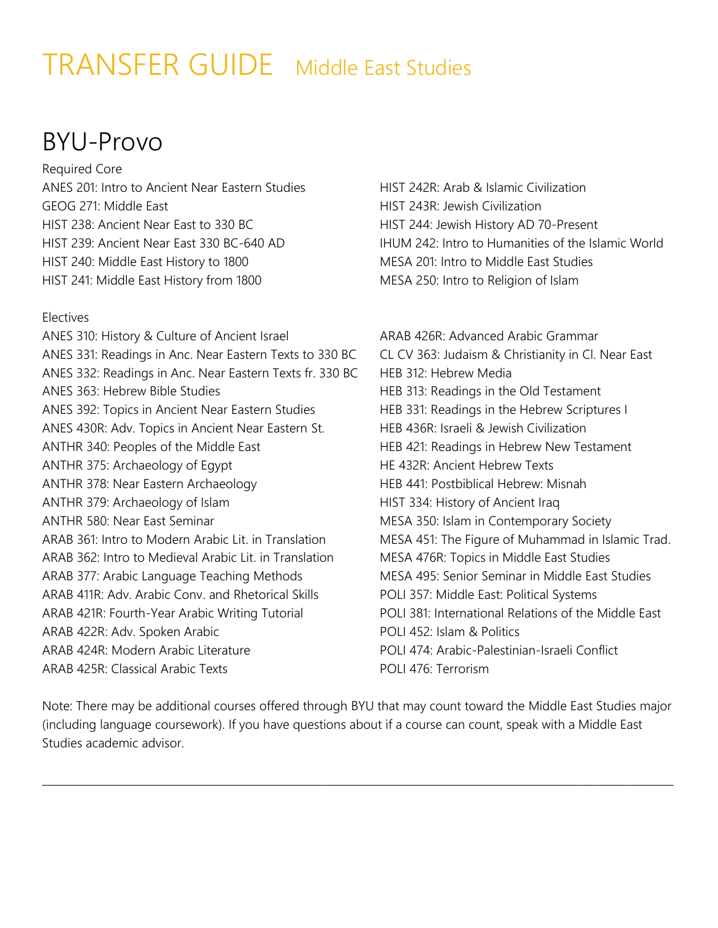# TRANSFER GUIDE Middle East Studies

#### BYU-Provo

Required Core ANES 201: Intro to Ancient Near Eastern Studies GEOG 271: Middle East HIST 238: Ancient Near East to 330 BC HIST 239: Ancient Near East 330 BC-640 AD HIST 240: Middle East History to 1800 HIST 241: Middle East History from 1800

#### Electives

ANES 310: History & Culture of Ancient Israel ANES 331: Readings in Anc. Near Eastern Texts to 330 BC ANES 332: Readings in Anc. Near Eastern Texts fr. 330 BC ANES 363: Hebrew Bible Studies ANES 392: Topics in Ancient Near Eastern Studies ANES 430R: Adv. Topics in Ancient Near Eastern St. ANTHR 340: Peoples of the Middle East ANTHR 375: Archaeology of Egypt ANTHR 378: Near Eastern Archaeology ANTHR 379: Archaeology of Islam ANTHR 580: Near East Seminar ARAB 361: Intro to Modern Arabic Lit. in Translation ARAB 362: Intro to Medieval Arabic Lit. in Translation ARAB 377: Arabic Language Teaching Methods ARAB 411R: Adv. Arabic Conv. and Rhetorical Skills ARAB 421R: Fourth-Year Arabic Writing Tutorial ARAB 422R: Adv. Spoken Arabic ARAB 424R: Modern Arabic Literature ARAB 425R: Classical Arabic Texts

HIST 242R: Arab & Islamic Civilization HIST 243R: Jewish Civilization HIST 244: Jewish History AD 70-Present IHUM 242: Intro to Humanities of the Islamic World MESA 201: Intro to Middle East Studies MESA 250: Intro to Religion of Islam

ARAB 426R: Advanced Arabic Grammar CL CV 363: Judaism & Christianity in Cl. Near East HEB 312: Hebrew Media HEB 313: Readings in the Old Testament HEB 331: Readings in the Hebrew Scriptures I HEB 436R: Israeli & Jewish Civilization HEB 421: Readings in Hebrew New Testament HE 432R: Ancient Hebrew Texts HEB 441: Postbiblical Hebrew: Misnah HIST 334: History of Ancient Iraq MESA 350: Islam in Contemporary Society MESA 451: The Figure of Muhammad in Islamic Trad. MESA 476R: Topics in Middle East Studies MESA 495: Senior Seminar in Middle East Studies POLI 357: Middle East: Political Systems POLI 381: International Relations of the Middle East POLI 452: Islam & Politics POLI 474: Arabic-Palestinian-Israeli Conflict POLI 476: Terrorism

Note: There may be additional courses offered through BYU that may count toward the Middle East Studies major (including language coursework). If you have questions about if a course can count, speak with a Middle East Studies academic advisor.

\_\_\_\_\_\_\_\_\_\_\_\_\_\_\_\_\_\_\_\_\_\_\_\_\_\_\_\_\_\_\_\_\_\_\_\_\_\_\_\_\_\_\_\_\_\_\_\_\_\_\_\_\_\_\_\_\_\_\_\_\_\_\_\_\_\_\_\_\_\_\_\_\_\_\_\_\_\_\_\_\_\_\_\_\_\_\_\_\_\_\_\_\_\_\_\_\_\_\_\_\_\_\_\_\_\_\_\_\_\_\_\_\_\_\_\_\_\_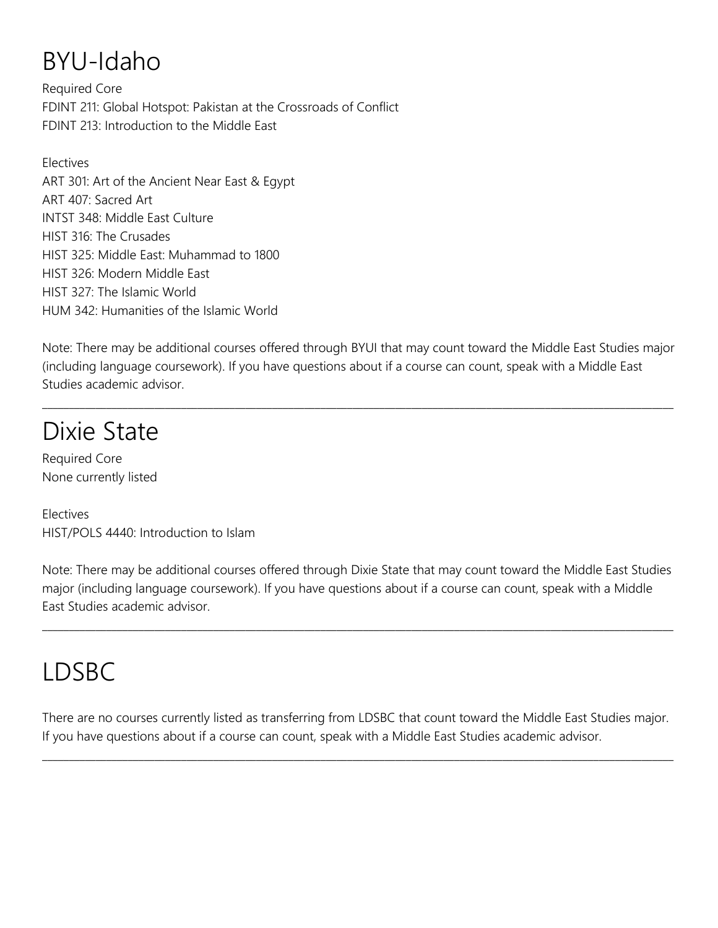#### BYU-Idaho

Required Core FDINT 211: Global Hotspot: Pakistan at the Crossroads of Conflict FDINT 213: Introduction to the Middle East

Electives ART 301: Art of the Ancient Near East & Egypt ART 407: Sacred Art INTST 348: Middle East Culture HIST 316: The Crusades HIST 325: Middle East: Muhammad to 1800 HIST 326: Modern Middle East HIST 327: The Islamic World HUM 342: Humanities of the Islamic World

Note: There may be additional courses offered through BYUI that may count toward the Middle East Studies major (including language coursework). If you have questions about if a course can count, speak with a Middle East Studies academic advisor.

 $\_$  , and the set of the set of the set of the set of the set of the set of the set of the set of the set of the set of the set of the set of the set of the set of the set of the set of the set of the set of the set of th

#### Dixie State

Required Core None currently listed

Electives HIST/POLS 4440: Introduction to Islam

Note: There may be additional courses offered through Dixie State that may count toward the Middle East Studies major (including language coursework). If you have questions about if a course can count, speak with a Middle East Studies academic advisor.

 $\_$  , and the set of the set of the set of the set of the set of the set of the set of the set of the set of the set of the set of the set of the set of the set of the set of the set of the set of the set of the set of th

## LDSBC

There are no courses currently listed as transferring from LDSBC that count toward the Middle East Studies major. If you have questions about if a course can count, speak with a Middle East Studies academic advisor.

 $\_$  ,  $\_$  ,  $\_$  ,  $\_$  ,  $\_$  ,  $\_$  ,  $\_$  ,  $\_$  ,  $\_$  ,  $\_$  ,  $\_$  ,  $\_$  ,  $\_$  ,  $\_$  ,  $\_$  ,  $\_$  ,  $\_$  ,  $\_$  ,  $\_$  ,  $\_$  ,  $\_$  ,  $\_$  ,  $\_$  ,  $\_$  ,  $\_$  ,  $\_$  ,  $\_$  ,  $\_$  ,  $\_$  ,  $\_$  ,  $\_$  ,  $\_$  ,  $\_$  ,  $\_$  ,  $\_$  ,  $\_$  ,  $\_$  ,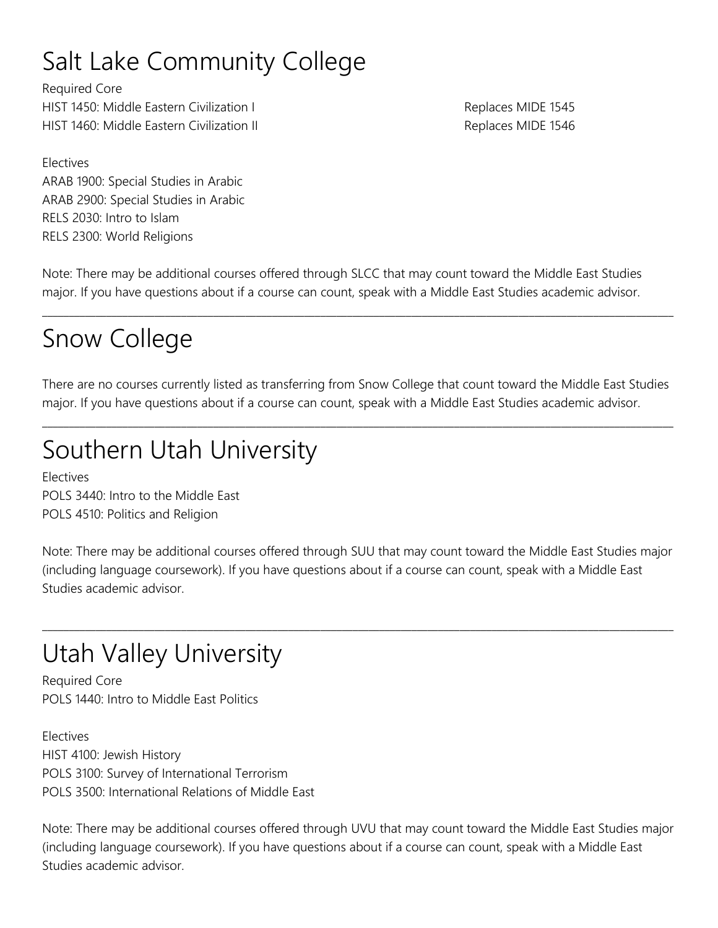# Salt Lake Community College

Required Core HIST 1450: Middle Eastern Civilization I and the control of the Replaces MIDE 1545 HIST 1460: Middle Eastern Civilization II and the control of the Replaces MIDE 1546

Electives ARAB 1900: Special Studies in Arabic ARAB 2900: Special Studies in Arabic RELS 2030: Intro to Islam RELS 2300: World Religions

Note: There may be additional courses offered through SLCC that may count toward the Middle East Studies major. If you have questions about if a course can count, speak with a Middle East Studies academic advisor.

## Snow College

There are no courses currently listed as transferring from Snow College that count toward the Middle East Studies major. If you have questions about if a course can count, speak with a Middle East Studies academic advisor.

 $\_$  , and the set of the set of the set of the set of the set of the set of the set of the set of the set of the set of the set of the set of the set of the set of the set of the set of the set of the set of the set of th

\_\_\_\_\_\_\_\_\_\_\_\_\_\_\_\_\_\_\_\_\_\_\_\_\_\_\_\_\_\_\_\_\_\_\_\_\_\_\_\_\_\_\_\_\_\_\_\_\_\_\_\_\_\_\_\_\_\_\_\_\_\_\_\_\_\_\_\_\_\_\_\_\_\_\_\_\_\_\_\_\_\_\_\_\_\_\_\_\_\_\_\_\_\_\_\_\_\_\_\_\_\_\_\_\_\_\_\_\_\_\_\_\_\_\_\_\_\_

# Southern Utah University

Electives POLS 3440: Intro to the Middle East POLS 4510: Politics and Religion

Note: There may be additional courses offered through SUU that may count toward the Middle East Studies major (including language coursework). If you have questions about if a course can count, speak with a Middle East Studies academic advisor.

 $\_$  ,  $\_$  ,  $\_$  ,  $\_$  ,  $\_$  ,  $\_$  ,  $\_$  ,  $\_$  ,  $\_$  ,  $\_$  ,  $\_$  ,  $\_$  ,  $\_$  ,  $\_$  ,  $\_$  ,  $\_$  ,  $\_$  ,  $\_$  ,  $\_$  ,  $\_$  ,  $\_$  ,  $\_$  ,  $\_$  ,  $\_$  ,  $\_$  ,  $\_$  ,  $\_$  ,  $\_$  ,  $\_$  ,  $\_$  ,  $\_$  ,  $\_$  ,  $\_$  ,  $\_$  ,  $\_$  ,  $\_$  ,  $\_$  ,

# Utah Valley University

Required Core POLS 1440: Intro to Middle East Politics

Electives HIST 4100: Jewish History POLS 3100: Survey of International Terrorism POLS 3500: International Relations of Middle East

Note: There may be additional courses offered through UVU that may count toward the Middle East Studies major (including language coursework). If you have questions about if a course can count, speak with a Middle East Studies academic advisor.